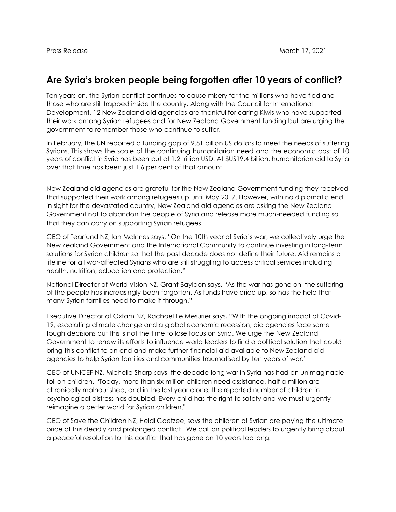## **Are Syria's broken people being forgotten after 10 years of conflict?**

Ten years on, the Syrian conflict continues to cause misery for the millions who have fled and those who are still trapped inside the country. Along with the Council for International Development, 12 New Zealand aid agencies are thankful for caring Kiwis who have supported their work among Syrian refugees and for New Zealand Government funding but are urging the government to remember those who continue to suffer.

In February, the UN reported a funding gap of 9.81 billion US dollars to meet the needs of suffering Syrians. This shows the scale of the continuing humanitarian need and the economic cost of 10 years of conflict in Syria has been put at 1.2 trillion USD. At \$US19.4 billion, humanitarian aid to Syria over that time has been just 1.6 per cent of that amount.

New Zealand aid agencies are grateful for the New Zealand Government funding they received that supported their work among refugees up until May 2017. However, with no diplomatic end in sight for the devastated country, New Zealand aid agencies are asking the New Zealand Government not to abandon the people of Syria and release more much-needed funding so that they can carry on supporting Syrian refugees.

CEO of Tearfund NZ, Ian McInnes says, "On the 10th year of Syria's war, we collectively urge the New Zealand Government and the International Community to continue investing in long-term solutions for Syrian children so that the past decade does not define their future. Aid remains a lifeline for all war-affected Syrians who are still struggling to access critical services including health, nutrition, education and protection."

National Director of World Vision NZ, Grant Bayldon says, "As the war has gone on, the suffering of the people has increasingly been forgotten. As funds have dried up, so has the help that many Syrian families need to make it through."

Executive Director of Oxfam NZ, Rachael Le Mesurier says, "With the ongoing impact of Covid-19, escalating climate change and a global economic recession, aid agencies face some tough decisions but this is not the time to lose focus on Syria. We urge the New Zealand Government to renew its efforts to influence world leaders to find a political solution that could bring this conflict to an end and make further financial aid available to New Zealand aid agencies to help Syrian families and communities traumatised by ten years of war."

CEO of UNICEF NZ, Michelle Sharp says, the decade-long war in Syria has had an unimaginable toll on children. "Today, more than six million children need assistance, half a million are chronically malnourished, and in the last year alone, the reported number of children in psychological distress has doubled. Every child has the right to safety and we must urgently reimagine a better world for Syrian children."

CEO of Save the Children NZ, Heidi Coetzee, says the children of Syrian are paying the ultimate price of this deadly and prolonged conflict. We call on political leaders to urgently bring about a peaceful resolution to this conflict that has gone on 10 years too long.